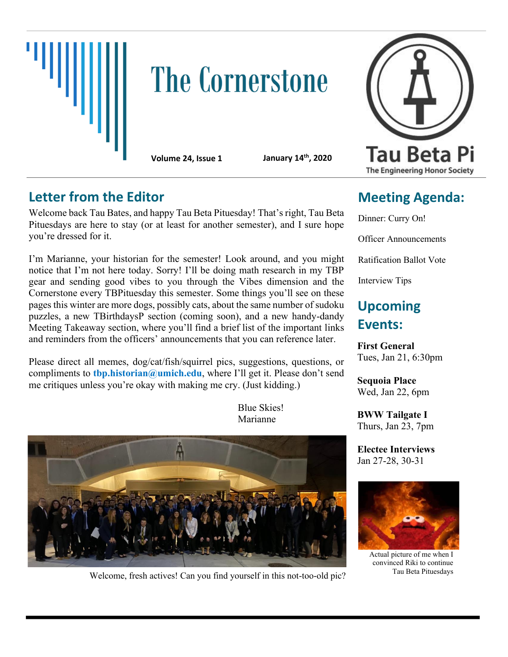

# **The Cornerstone**

**Volume 24, Issue 1 January 14**

**th, 2020**

### **Letter from the Editor**

Welcome back Tau Bates, and happy Tau Beta Pituesday! That's right, Tau Beta Pituesdays are here to stay (or at least for another semester), and I sure hope you're dressed for it.

I'm Marianne, your historian for the semester! Look around, and you might notice that I'm not here today. Sorry! I'll be doing math research in my TBP gear and sending good vibes to you through the Vibes dimension and the Cornerstone every TBPituesday this semester. Some things you'll see on these pages this winter are more dogs, possibly cats, about the same number of sudoku puzzles, a new TBirthdaysP section (coming soon), and a new handy-dandy Meeting Takeaway section, where you'll find a brief list of the important links and reminders from the officers' announcements that you can reference later.

Please direct all memes, dog/cat/fish/squirrel pics, suggestions, questions, or compliments to **thp.historian@umich.edu**, where I'll get it. Please don't send me critiques unless you're okay with making me cry. (Just kidding.)

> Blue Skies! Marianne



Welcome, fresh actives! Can you find yourself in this not-too-old pic?



# **Meeting Agenda:**

Dinner: Curry On! Officer Announcements Ratification Ballot Vote Interview Tips

## **Upcoming Events:**

**First General** Tues, Jan 21, 6:30pm

**Sequoia Place** Wed, Jan 22, 6pm

**BWW Tailgate I** Thurs, Jan 23, 7pm

**Electee Interviews** Jan 27-28, 30-31



Actual picture of me when I convinced Riki to continue Tau Beta Pituesdays